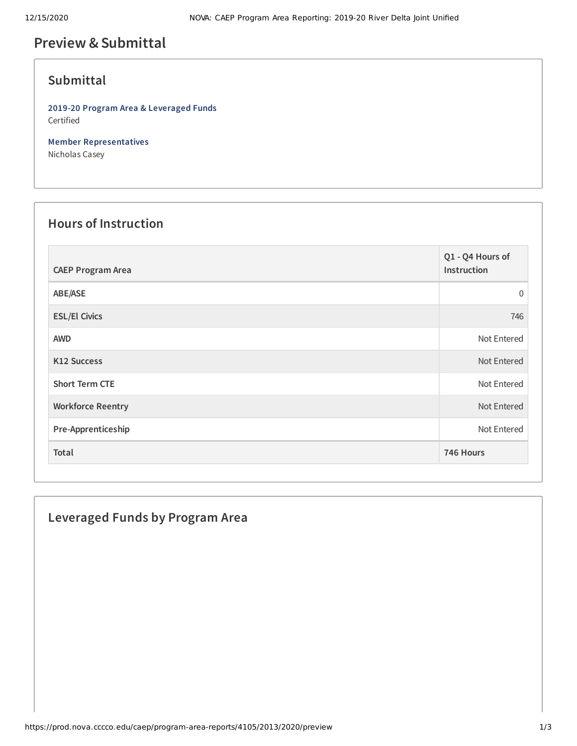# **Preview &Submittal**

## **Submittal**

**2019-20 Program Area & Leveraged Funds** Certified

**Member Representatives** Nicholas Casey

#### **Hours of Instruction**

| <b>CAEP Program Area</b> | Q1 - Q4 Hours of<br>Instruction |
|--------------------------|---------------------------------|
| ABE/ASE                  | $\mathbf{0}$                    |
| <b>ESL/El Civics</b>     | 746                             |
| <b>AWD</b>               | Not Entered                     |
| <b>K12 Success</b>       | Not Entered                     |
| <b>Short Term CTE</b>    | Not Entered                     |
| <b>Workforce Reentry</b> | Not Entered                     |
| Pre-Apprenticeship       | Not Entered                     |
| Total                    | 746 Hours                       |

### **Leveraged Funds by Program Area**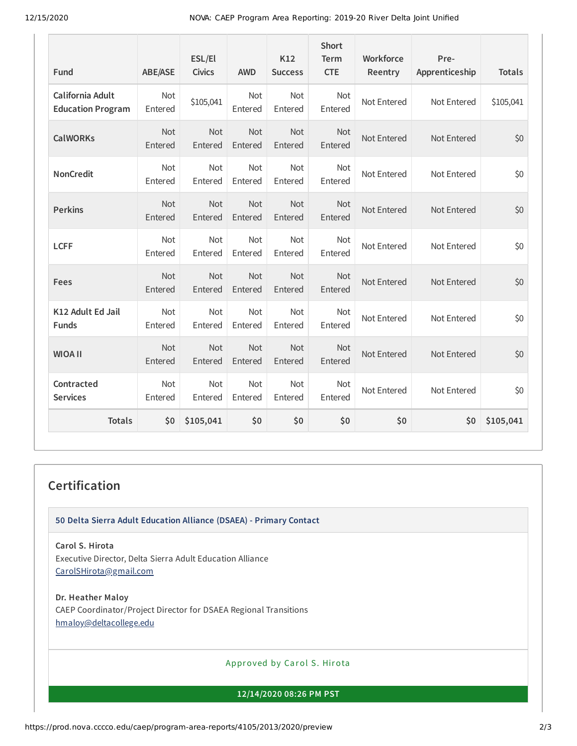12/15/2020 NOVA: CAEP Program Area Reporting: 2019-20 River Delta Joint Unified

| Fund                                         | <b>ABE/ASE</b> | ESL/El<br><b>Civics</b> | <b>AWD</b>            | K12<br><b>Success</b> | <b>Short</b><br><b>Term</b><br><b>CTE</b> | Workforce<br>Reentry | Pre-<br>Apprenticeship | <b>Totals</b> |
|----------------------------------------------|----------------|-------------------------|-----------------------|-----------------------|-------------------------------------------|----------------------|------------------------|---------------|
| California Adult<br><b>Education Program</b> | Not<br>Entered | \$105,041               | <b>Not</b><br>Entered | Not<br>Entered        | <b>Not</b><br>Entered                     | Not Entered          | Not Entered            | \$105,041     |
| <b>CalWORKs</b>                              | Not<br>Entered | Not<br>Entered          | <b>Not</b><br>Entered | Not<br>Entered        | Not<br>Entered                            | Not Entered          | Not Entered            | \$0           |
| <b>NonCredit</b>                             | Not<br>Entered | Not<br>Entered          | Not<br>Entered        | Not<br>Entered        | Not<br>Entered                            | Not Entered          | Not Entered            | \$0           |
| <b>Perkins</b>                               | Not<br>Entered | Not<br>Entered          | <b>Not</b><br>Entered | <b>Not</b><br>Entered | Not<br>Entered                            | Not Entered          | Not Entered            | \$0           |
| <b>LCFF</b>                                  | Not<br>Entered | Not<br>Entered          | Not<br>Entered        | Not<br>Entered        | Not<br>Entered                            | Not Entered          | Not Entered            | \$0           |
| Fees                                         | Not<br>Entered | Not<br>Entered          | Not<br>Entered        | Not<br>Entered        | Not<br>Entered                            | Not Entered          | Not Entered            | \$0           |
| K12 Adult Ed Jail<br><b>Funds</b>            | Not<br>Entered | Not<br>Entered          | Not<br>Entered        | Not<br>Entered        | Not<br>Entered                            | Not Entered          | Not Entered            | \$0           |
| <b>WIOA II</b>                               | Not<br>Entered | Not<br>Entered          | Not<br>Entered        | Not<br>Entered        | Not<br>Entered                            | Not Entered          | Not Entered            | \$0           |
| Contracted<br><b>Services</b>                | Not<br>Entered | Not<br>Entered          | Not<br>Entered        | Not<br>Entered        | Not<br>Entered                            | Not Entered          | Not Entered            | \$0           |
| <b>Totals</b>                                | \$0            | \$105,041               | \$0                   | \$0                   | \$0                                       | \$0                  | \$0                    | \$105,041     |

### **Certification**

**50 Delta Sierra Adult Education Alliance (DSAEA) - Primary Contact**

**Carol S. Hirota** Executive Director, Delta Sierra Adult Education Alliance [CarolSHirota@gmail.com](mailto:CarolSHirota@gmail.com)

**Dr. Heather Maloy** CAEP Coordinator/Project Director for DSAEA Regional Transitions [hmaloy@deltacollege.edu](mailto:hmaloy@deltacollege.edu)

Approved by Carol S. Hirota

**12/14/2020 08:26 PM PST**